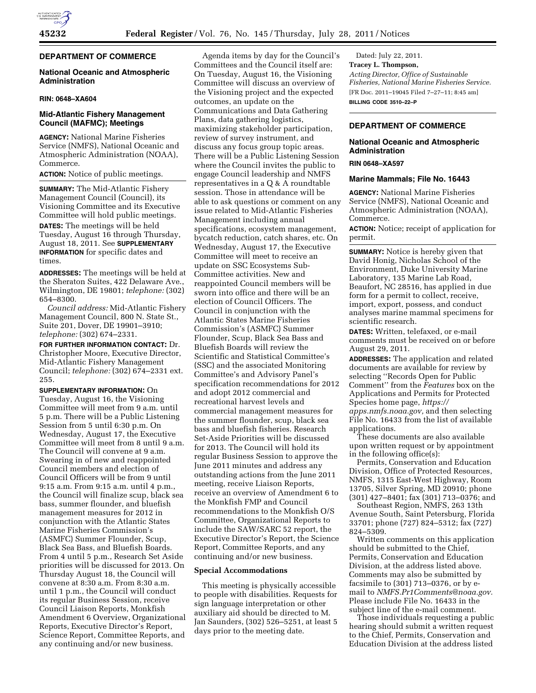# **DEPARTMENT OF COMMERCE**

# **National Oceanic and Atmospheric Administration**

### **RIN: 0648–XA604**

# **Mid-Atlantic Fishery Management Council (MAFMC); Meetings**

**AGENCY:** National Marine Fisheries Service (NMFS), National Oceanic and Atmospheric Administration (NOAA), Commerce.

**ACTION:** Notice of public meetings.

**SUMMARY:** The Mid-Atlantic Fishery Management Council (Council), its Visioning Committee and its Executive Committee will hold public meetings. **DATES:** The meetings will be held Tuesday, August 16 through Thursday, August 18, 2011. See **SUPPLEMENTARY INFORMATION** for specific dates and times.

**ADDRESSES:** The meetings will be held at the Sheraton Suites, 422 Delaware Ave., Wilmington, DE 19801; *telephone:* (302) 654–8300.

*Council address:* Mid-Atlantic Fishery Management Council, 800 N. State St., Suite 201, Dover, DE 19901–3910; *telephone:* (302) 674–2331.

**FOR FURTHER INFORMATION CONTACT:** Dr. Christopher Moore, Executive Director, Mid-Atlantic Fishery Management Council; *telephone:* (302) 674–2331 ext. 255.

**SUPPLEMENTARY INFORMATION:** On Tuesday, August 16, the Visioning Committee will meet from 9 a.m. until 5 p.m. There will be a Public Listening Session from 5 until 6:30 p.m. On Wednesday, August 17, the Executive Committee will meet from 8 until 9 a.m. The Council will convene at 9 a.m. Swearing in of new and reappointed Council members and election of Council Officers will be from 9 until 9:15 a.m. From 9:15 a.m. until 4 p.m., the Council will finalize scup, black sea bass, summer flounder, and bluefish management measures for 2012 in conjunction with the Atlantic States Marine Fisheries Commission's (ASMFC) Summer Flounder, Scup, Black Sea Bass, and Bluefish Boards. From 4 until 5 p.m., Research Set Aside priorities will be discussed for 2013. On Thursday August 18, the Council will convene at 8:30 a.m. From 8:30 a.m. until 1 p.m., the Council will conduct its regular Business Session, receive Council Liaison Reports, Monkfish Amendment 6 Overview, Organizational Reports, Executive Director's Report, Science Report, Committee Reports, and any continuing and/or new business.

Agenda items by day for the Council's Committees and the Council itself are: On Tuesday, August 16, the Visioning Committee will discuss an overview of the Visioning project and the expected outcomes, an update on the Communications and Data Gathering Plans, data gathering logistics, maximizing stakeholder participation, review of survey instrument, and discuss any focus group topic areas. There will be a Public Listening Session where the Council invites the public to engage Council leadership and NMFS representatives in a Q & A roundtable session. Those in attendance will be able to ask questions or comment on any issue related to Mid-Atlantic Fisheries Management including annual specifications, ecosystem management, bycatch reduction, catch shares, etc. On Wednesday, August 17, the Executive Committee will meet to receive an update on SSC Ecosystems Sub-Committee activities. New and reappointed Council members will be sworn into office and there will be an election of Council Officers. The Council in conjunction with the Atlantic States Marine Fisheries Commission's (ASMFC) Summer Flounder, Scup, Black Sea Bass and Bluefish Boards will review the Scientific and Statistical Committee's (SSC) and the associated Monitoring Committee's and Advisory Panel's specification recommendations for 2012 and adopt 2012 commercial and recreational harvest levels and commercial management measures for the summer flounder, scup, black sea bass and bluefish fisheries. Research Set-Aside Priorities will be discussed for 2013. The Council will hold its regular Business Session to approve the June 2011 minutes and address any outstanding actions from the June 2011 meeting, receive Liaison Reports, receive an overview of Amendment 6 to the Monkfish FMP and Council recommendations to the Monkfish O/S Committee, Organizational Reports to include the SAW/SARC 52 report, the Executive Director's Report, the Science Report, Committee Reports, and any continuing and/or new business.

### **Special Accommodations**

This meeting is physically accessible to people with disabilities. Requests for sign language interpretation or other auxiliary aid should be directed to M. Jan Saunders, (302) 526–5251, at least 5 days prior to the meeting date.

Dated: July 22, 2011. **Tracey L. Thompson,**  *Acting Director, Office of Sustainable Fisheries, National Marine Fisheries Service.*  [FR Doc. 2011–19045 Filed 7–27–11; 8:45 am] **BILLING CODE 3510–22–P** 

# **DEPARTMENT OF COMMERCE**

## **National Oceanic and Atmospheric Administration**

### **RIN 0648–XA597**

### **Marine Mammals; File No. 16443**

**AGENCY:** National Marine Fisheries Service (NMFS), National Oceanic and Atmospheric Administration (NOAA), Commerce.

**ACTION:** Notice; receipt of application for permit.

**SUMMARY:** Notice is hereby given that David Honig, Nicholas School of the Environment, Duke University Marine Laboratory, 135 Marine Lab Road, Beaufort, NC 28516, has applied in due form for a permit to collect, receive, import, export, possess, and conduct analyses marine mammal specimens for scientific research.

**DATES:** Written, telefaxed, or e-mail comments must be received on or before August 29, 2011.

**ADDRESSES:** The application and related documents are available for review by selecting ''Records Open for Public Comment'' from the *Features* box on the Applications and Permits for Protected Species home page, *[https://](https://apps.nmfs.noaa.gov)  [apps.nmfs.noaa.gov,](https://apps.nmfs.noaa.gov)* and then selecting File No. 16433 from the list of available

applications. These documents are also available upon written request or by appointment

in the following office(s): Permits, Conservation and Education Division, Office of Protected Resources, NMFS, 1315 East-West Highway, Room 13705, Silver Spring, MD 20910; phone (301) 427–8401; fax (301) 713–0376; and

Southeast Region, NMFS, 263 13th Avenue South, Saint Petersburg, Florida 33701; phone (727) 824–5312; fax (727) 824–5309.

Written comments on this application should be submitted to the Chief, Permits, Conservation and Education Division, at the address listed above. Comments may also be submitted by facsimile to (301) 713–0376, or by email to *[NMFS.Pr1Comments@noaa.gov.](mailto:NMFS.Pr1Comments@noaa.gov)*  Please include File No. 16433 in the subject line of the e-mail comment.

Those individuals requesting a public hearing should submit a written request to the Chief, Permits, Conservation and Education Division at the address listed